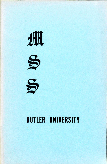

## BUTLER UNIVERSITY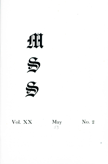





# **Vol. XX** May No. 2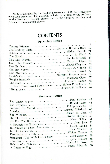MSS is published by the English Department of Butler University  $\frac{m}{2}$  and  $\frac{m}{2}$  is partial included is written by the students once each semester. The material included is written by  $\frac{m}{2}$ in the Freshman English classes and in the Creative Writing and Advanced Composition classes.

## **CONTENTS**

#### Upperclass Section

|                                                    | $^{4}$ |
|----------------------------------------------------|--------|
|                                                    | 19     |
| The Rocking ChairMargaret Brunson Rees             | 21     |
| October AfternoonMiriam Burrell                    | 24     |
|                                                    | 27     |
| The Arid MonthIan D. Mitchell                      | 28     |
| Deep Blue FantasyMargaret Clyne                    | 30     |
|                                                    |        |
|                                                    | 32     |
|                                                    | 33     |
| Davie's Corn PatchMargaret Brunson Rees            | 34     |
|                                                    | 37     |
| Fragile InterludeMargaret Clyne                    | 38     |
| The RoseCharlotte Walton                           | 44     |
| If Ever I Have Loved You, a poemHubert P. Williams |        |
| Life, a poemHubert P. Williams                     | 44     |
|                                                    |        |

#### Freshman Section

|                                            | 45 |
|--------------------------------------------|----|
| The Choice, a poemPaul Stricker            | 45 |
| Bon VoyageRobert Casey                     | 46 |
| Socrates, the MartyrPhillip Nicholas       | 47 |
| America Eugenie Miletitsch                 | 49 |
| The WindowRonald M. Corn                   |    |
| Hit The DeckRobert Dugdale                 | 50 |
|                                            | 51 |
|                                            | 53 |
|                                            | 54 |
| In Defense of a Real AmericanJoseph Landis | 55 |
| In The CathedralPaul Stricker              | 56 |
|                                            |    |
| Immanuel (God With Us), a poemBen Strasser | 58 |
|                                            | 58 |
|                                            | 59 |
| Rebirth of a NationHoward L. Rose          | 60 |
| A Letter to PogoPeggy Edwards              |    |